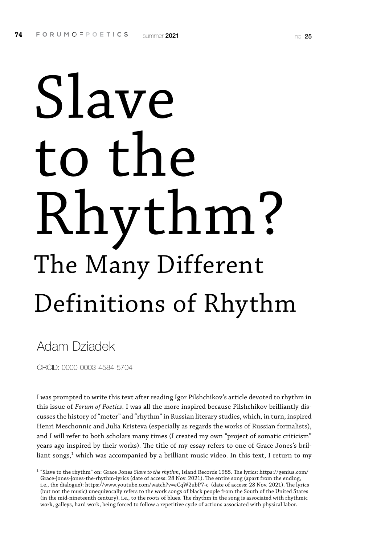# Slave to the Rhythm? The Many Different Definitions of Rhythm

## Adam Dziadek

ORCID: 0000-0003-4584-5704

I was prompted to write this text after reading Igor Pilshchikov's article devoted to rhythm in this issue of *Forum of Poetics*. I was all the more inspired because Pilshchikov brilliantly discusses the history of "meter" and "rhythm" in Russian literary studies, which, in turn, inspired Henri Meschonnic and Julia Kristeva (especially as regards the works of Russian formalists), and I will refer to both scholars many times (I created my own "project of somatic criticism" years ago inspired by their works). The title of my essay refers to one of Grace Jones's brilliant songs, $^{\rm 1}$  which was accompanied by a brilliant music video. In this text, I return to my

<sup>1</sup> "Slave to the rhythm" on: Grace Jones *Slave to the rhythm*, Island Records 1985. The lyrics: [https://genius.com/](https://genius.com/Grace-jones-jones-the-rhythm-lyrics) [Grace-jones-jones-the-rhythm-lyrics](https://genius.com/Grace-jones-jones-the-rhythm-lyrics) (date of access: 28 Nov. 2021). The entire song (apart from the ending, i.e., the dialogue): <https://www.youtube.com/watch?v=eCqW2ubP7-c> (date of access: 28 Nov. 2021). The lyrics (but not the music) unequivocally refers to the work songs of black people from the South of the United States (in the mid-nineteenth century), i.e., to the roots of blues. The rhythm in the song is associated with rhythmic work, galleys, hard work, being forced to follow a repetitive cycle of actions associated with physical labor.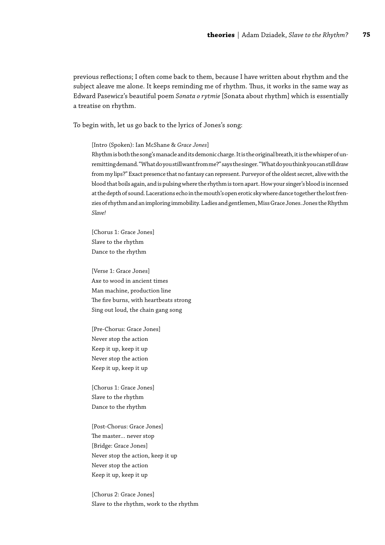previous reflections; I often come back to them, because I have written about rhythm and the subject aleave me alone. It keeps reminding me of rhythm. Thus, it works in the same way as Edward Pasewicz's beautiful poem *Sonata o rytmie* [Sonata about rhythm] which is essentially a treatise on rhythm.

To begin with, let us go back to the lyrics of Jones's song:

[Intro (Spoken): Ian McShane & *Grace Jones*]

Rhythm is both the song's manacle and its demonic charge. It is the original breath, it is the whisper of unremitting demand. "What do you still want from me?" says the singer. "What do you think you can still draw from my lips?" Exact presence that no fantasy can represent. Purveyor of the oldest secret, alive with the blood that boils again, and is pulsing where the rhythm is torn apart. How your singer's blood is incensed at the depth of sound. Lacerations echo in the mouth's open erotic sky where dance together the lost frenzies of rhythm and an imploring immobility. Ladies and gentlemen, Miss Grace Jones. Jones the Rhythm *Slave!*

[Chorus 1: Grace Jones] Slave to the rhythm Dance to the rhythm

[Verse 1: Grace Jones] Axe to wood in ancient times Man machine, production line The fire burns, with heartbeats strong Sing out loud, the chain gang song

[Pre-Chorus: Grace Jones] Never stop the action Keep it up, keep it up Never stop the action Keep it up, keep it up

[Chorus 1: Grace Jones] Slave to the rhythm Dance to the rhythm

[Post-Chorus: Grace Jones] The master... never stop [Bridge: Grace Jones] Never stop the action, keep it up Never stop the action Keep it up, keep it up

[Chorus 2: Grace Jones] Slave to the rhythm, work to the rhythm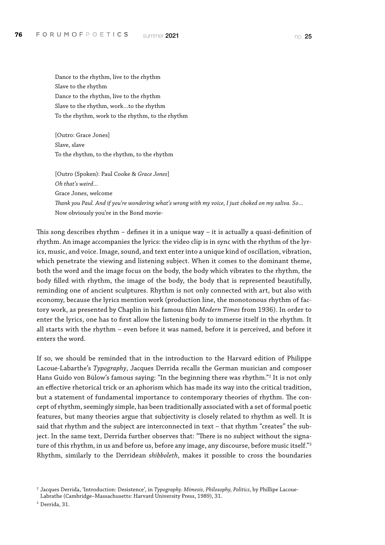Dance to the rhythm, live to the rhythm Slave to the rhythm Dance to the rhythm, live to the rhythm Slave to the rhythm, work...to the rhythm To the rhythm, work to the rhythm, to the rhythm

[Outro: Grace Jones] Slave, slave To the rhythm, to the rhythm, to the rhythm

[Outro (Spoken): Paul Cooke & *Grace Jones*] *Oh that's weird...* Grace Jones, welcome *Thank you Paul. And if you're wondering what's wrong with my voice, I just choked on my saliva. So…* Now obviously you're in the Bond movie-

This song describes rhythm – defines it in a unique way – it is actually a quasi-definition of rhythm. An image accompanies the lyrics: the video clip is in sync with the rhythm of the lyrics, music, and voice. Image, sound, and text enter into a unique kind of oscillation, vibration, which penetrate the viewing and listening subject. When it comes to the dominant theme, both the word and the image focus on the body, the body which vibrates to the rhythm, the body filled with rhythm, the image of the body, the body that is represented beautifully, reminding one of ancient sculptures. Rhythm is not only connected with art, but also with economy, because the lyrics mention work (production line, the monotonous rhythm of factory work, as presented by Chaplin in his famous film *Modern Times* from 1936). In order to enter the lyrics, one has to first allow the listening body to immerse itself in the rhythm. It all starts with the rhythm – even before it was named, before it is perceived, and before it enters the word.

If so, we should be reminded that in the introduction to the Harvard edition of Philippe Lacoue-Labarthe's *Typography*, Jacques Derrida recalls the German musician and composer Hans Guido von Bülow's famous saying: "In the beginning there was rhythm."2 It is not only an effective rhetorical trick or an aphorism which has made its way into the critical tradition, but a statement of fundamental importance to contemporary theories of rhythm. The concept of rhythm, seemingly simple, has been traditionally associated with a set of formal poetic features, but many theories argue that subjectivity is closely related to rhythm as well. It is said that rhythm and the subject are interconnected in text – that rhythm "creates" the subject. In the same text, Derrida further observes that: "There is no subject without the signature of this rhythm, in us and before us, before any image, any discourse, before music itself."3 Rhythm, similarly to the Derridean *shibboleth*, makes it possible to cross the boundaries

<sup>2</sup> Jacques Derrida, 'Introduction: Desistence', in *Typography. Mimesis, Philosophy, Politics*, by Phillipe Lacoue-Labrathe (Cambridge–Massachusetts: Harvard University Press, 1989), 31.

<sup>3</sup> Derrida, 31.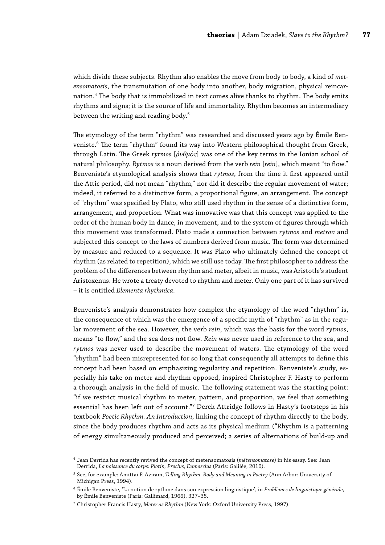which divide these subjects. Rhythm also enables the move from body to body, a kind of *metensomatosis*, the transmutation of one body into another, body migration, physical reincarnation.4 The body that is immobilized in text comes alive thanks to rhythm. The body emits rhythms and signs; it is the source of life and immortality. Rhythm becomes an intermediary between the writing and reading body.<sup>5</sup>

The etymology of the term "rhythm" was researched and discussed years ago by Émile Benveniste.6 The term "rhythm" found its way into Western philosophical thought from Greek, through Latin. The Greek *rytmos* [*ῥυθμός*] was one of the key terms in the Ionian school of natural philosophy. *Rytmos* is a noun derived from the verb *rein* [*rein*], which meant "to flow." Benveniste's etymological analysis shows that *rytmos*, from the time it first appeared until the Attic period, did not mean "rhythm," nor did it describe the regular movement of water; indeed, it referred to a distinctive form, a proportional figure, an arrangement. The concept of "rhythm" was specified by Plato, who still used rhythm in the sense of a distinctive form, arrangement, and proportion. What was innovative was that this concept was applied to the order of the human body in dance, in movement, and to the system of figures through which this movement was transformed. Plato made a connection between *rytmos* and *metron* and subjected this concept to the laws of numbers derived from music. The form was determined by measure and reduced to a sequence. It was Plato who ultimately defined the concept of rhythm (as related to repetition), which we still use today. The first philosopher to address the problem of the differences between rhythm and meter, albeit in music, was Aristotle's student Aristoxenus. He wrote a treaty devoted to rhythm and meter. Only one part of it has survived – it is entitled *Elementa rhythmica*.

Benveniste's analysis demonstrates how complex the etymology of the word "rhythm" is, the consequence of which was the emergence of a specific myth of "rhythm" as in the regular movement of the sea. However, the verb *rein*, which was the basis for the word *rytmos*, means "to flow," and the sea does not flow. *Rein* was never used in reference to the sea, and *rytmos* was never used to describe the movement of waters. The etymology of the word "rhythm" had been misrepresented for so long that consequently all attempts to define this concept had been based on emphasizing regularity and repetition. Benveniste's study, especially his take on meter and rhythm opposed, inspired Christopher F. Hasty to perform a thorough analysis in the field of music. The following statement was the starting point: "if we restrict musical rhythm to meter, pattern, and proportion, we feel that something essential has been left out of account."7 Derek Attridge follows in Hasty's footsteps in his textbook *Poetic Rhythm. An Introduction*, linking the concept of rhythm directly to the body, since the body produces rhythm and acts as its physical medium ("Rhythm is a patterning of energy simultaneously produced and perceived; a series of alternations of build-up and

<sup>4</sup> Jean Derrida has recently revived the concept of metensomatosis (*métensomatose*) in his essay. See: Jean Derrida, *La naissance du corps: Plotin, Proclus, Damascius* (Paris: Galilée, 2010).

<sup>5</sup> See, for example: Amittai F. Aviram, *Telling Rhythm. Body and Meaning in Poetry* (Ann Arbor: University of Michigan Press, 1994).

<sup>6</sup> Émile Benveniste, 'La notion de rythme dans son expression linguistique', in *Problèmes de linguistique générale*, by Émile Benveniste (Paris: Gallimard, 1966), 327–35.

<sup>7</sup> Christopher Francis Hasty, *Meter as Rhythm* (New York: Oxford University Press, 1997).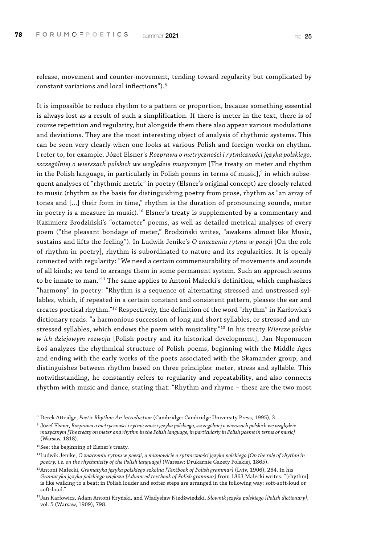release, movement and counter-movement, tending toward regularity but complicated by constant variations and local inflections").8

It is impossible to reduce rhythm to a pattern or proportion, because something essential is always lost as a result of such a simplification. If there is meter in the text, there is of course repetition and regularity, but alongside them there also appear various modulations and deviations. They are the most interesting object of analysis of rhythmic systems. This can be seen very clearly when one looks at various Polish and foreign works on rhythm. I refer to, for example, Józef Elsner's *Rozprawa o metryczności i rytmiczności języka polskiego, szczególniej o wierszach polskich we względzie muzycznym* [The treaty on meter and rhythm in the Polish language, in particularly in Polish poems in terms of music], $^{\rm 9}$  in which subsequent analyses of "rhythmic metric" in poetry (Elsner's original concept) are closely related to music (rhythm as the basis for distinguishing poetry from prose, rhythm as "an array of tones and [...] their form in time," rhythm is the duration of pronouncing sounds, meter in poetry is a measure in music).<sup>10</sup> Elsner's treaty is supplemented by a commentary and Kazimierz Brodziński's "octameter" poems, as well as detailed metrical analyses of every poem ("the pleasant bondage of meter," Brodziński writes, "awakens almost like Music, sustains and lifts the feeling"). In Ludwik Jenike's *O znaczeniu rytmu w poezji* [On the role of rhythm in poetry], rhythm is subordinated to nature and its regularities. It is openly connected with regularity: "We need a certain commensurability of movements and sounds of all kinds; we tend to arrange them in some permanent system. Such an approach seems to be innate to man."11 The same applies to Antoni Małecki's definition, which emphasizes "harmony" in poetry: "Rhythm is a sequence of alternating stressed and unstressed syllables, which, if repeated in a certain constant and consistent pattern, pleases the ear and creates poetical rhythm."12 Respectively, the definition of the word "rhythm" in Karłowicz's dictionary reads: "a harmonious succession of long and short syllables, or stressed and unstressed syllables, which endows the poem with musicality."13 In his treaty *Wiersze polskie w ich dziejowym rozwoju* [Polish poetry and its historical development], Jan Nepomucen Łoś analyzes the rhythmical structure of Polish poems, beginning with the Middle Ages and ending with the early works of the poets associated with the Skamander group, and distinguishes between rhythm based on three principles: meter, stress and syllable. This notwithstanding, he constantly refers to regularity and repeatability, and also connects rhythm with music and dance, stating that: "Rhythm and rhyme – these are the two most

10See: the beginning of Elsner's treaty.

<sup>8</sup> Derek Attridge, *Poetic Rhythm: An Introduction* (Cambridge: Cambridge University Press, 1995), 3.

<sup>9</sup> Józef Elsner, *Rozprawa o metryczności i rytmiczności języka polskiego, szczególniej o wierszach polskich we względzie muzycznym [The treaty on meter and rhythm in the Polish language, in particularly in Polish poems in terms of music]* (Warsaw, 1818).

<sup>11</sup>Ludwik Jenike, *O znaczeniu rytmu w poezji, a mianowicie o rytmiczności języka polskiego [On the role of rhythm in poetry, i.e. on the rhythmicity of the Polish language]* (Warsaw: Drukarnie Gazety Polskiej, 1865).

<sup>12</sup>Antoni Małecki, *Gramatyka języka polskiego szkolna [Textbook of Polish grammar]* (Lviv, 1906), 264. In his *Gramatyka języka polskiego większa [Advanced textbook of Polish grammar]* from 1863 Małecki writes: "[rhythm] is like walking to a beat; in Polish louder and softer steps are arranged in the following way: soft-soft-loud or soft-loud."

<sup>13</sup>Jan Karłowicz, Adam Antoni Kryński, and Władysław Niedźwiedzki, *Słownik języka polskiego [Polish dictionary]*, vol. 5 (Warsaw, 1909), 798.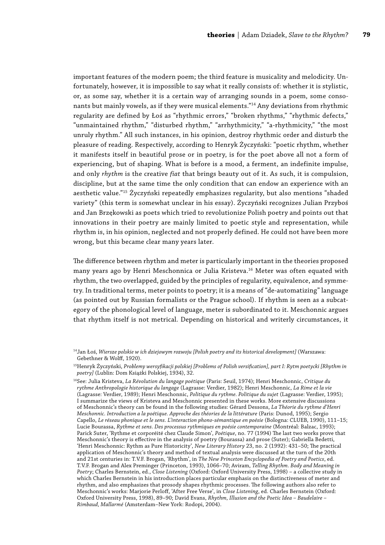important features of the modern poem; the third feature is musicality and melodicity. Unfortunately, however, it is impossible to say what it really consists of: whether it is stylistic, or, as some say, whether it is a certain way of arranging sounds in a poem, some consonants but mainly vowels, as if they were musical elements."14 Any deviations from rhythmic regularity are defined by Łoś as "rhythmic errors," "broken rhythms," "rhythmic defects," "unmaintained rhythm," "disturbed rhythm," "arrhythmicity," "a-rhythmicity," "the most unruly rhythm." All such instances, in his opinion, destroy rhythmic order and disturb the pleasure of reading. Respectively, according to Henryk Życzyński: "poetic rhythm, whether it manifests itself in beautiful prose or in poetry, is for the poet above all not a form of experiencing, but of shaping. What is before is a mood, a ferment, an indefinite impulse, and only *rhythm* is the creative *fiat* that brings beauty out of it. As such, it is compulsion, discipline, but at the same time the only condition that can endow an experience with an aesthetic value."15 Życzyński repeatedly emphasizes regularity, but also mentions "shaded variety" (this term is somewhat unclear in his essay). Życzyński recognizes Julian Przyboś and Jan Brzękowski as poets which tried to revolutionize Polish poetry and points out that innovations in their poetry are mainly limited to poetic style and representation, while rhythm is, in his opinion, neglected and not properly defined. He could not have been more wrong, but this became clear many years later.

The difference between rhythm and meter is particularly important in the theories proposed many years ago by Henri Meschonnica or Julia Kristeva.<sup>16</sup> Meter was often equated with rhythm, the two overlapped, guided by the principles of regularity, equivalence, and symmetry. In traditional terms, meter points to poetry; it is a means of "de-automatizing" language (as pointed out by Russian formalists or the Prague school). If rhythm is seen as a subcategory of the phonological level of language, meter is subordinated to it. Meschonnic argues that rhythm itself is not metrical. Depending on historical and writerly circumstances, it

<sup>14</sup>Jan Łoś, *Wiersze polskie w ich dziejowym rozwoju [Polish poetry and its historical development]* (Warszawa: Gebethner & Wolff, 1920).

<sup>15</sup>Henryk Życzyński, *Problemy wersyfikacji polskiej [Problems of Polish versification], part I: Rytm poetycki [Rhythm in poetry]* (Lublin: Dom Książki Polskiej, 1934), 32.

<sup>16</sup>See: Julia Kristeva, *La Révolution du langage poétique* (Paris: Seuil, 1974); Henri Meschonnic, *Critique du rythme Anthropologie historique du langage* (Lagrasse: Verdier, 1982); Henri Meschonnic, *La Rime et la vie* (Lagrasse: Verdier, 1989); Henri Meschonnic, *Politique du rythme. Politique du sujet* (Lagrasse: Verdier, 1995); I summarize the views of Kristeva and Meschonnic presented in these works. More extensive discussions of Meschonnic's theory can be found in the following studies: Gérard Dessons, *La Théorie du rythme d'Henri Meschonnic. Introduction a la poétique. Approche des théories de la littérature* (Paris: Dunod, 1995); Sergio Capello, *Le réseau phonique et le sens. L'interaction phono-sémantique en poésie* (Bologna: CLUEB, 1990), 111–15; Lucie Bourassa, *Rythme et sens. Des processus rythmiques en poésie contemporaine* (Montréal: Balzac, 1993); Parick Suter, 'Rythme et corporéité chez Claude Simon', *Poétique*, no. 77 (1994) The last two works prove that Meschonnic's theory is effective in the analysis of poetry (Bourassa) and prose (Suter); Gabriella Bedetti, 'Henri Meschonnic: Rythm as Pure Historicity', *New Literary History* 23, no. 2 (1992): 431–50; The practical application of Meschonnic's theory and method of textual analysis were discussed at the turn of the 20th and 21st centuries in: T.V.F. Brogan, 'Rhythm', in *The New Princeton Encyclopedia of Poetry and Poetics*, ed. T.V.F. Brogan and Alex Preminger (Princeton, 1993), 1066–70; Aviram, *Telling Rhythm. Body and Meaning in Poetry*; Charles Bernstein, ed., *Close Listening* (Oxford: Oxford University Press, 1998) – a collective study in which Charles Bernstein in his introduction places particular emphasis on the distinctiveness of meter and rhythm, and also emphasizes that prosody shapes rhythmic processes. The following authors also refer to Meschonnic's works: Marjorie Perloff, 'After Free Verse', in *Close Listening*, ed. Charles Bernstein (Oxford: Oxford University Press, 1998), 89–90; David Evans, *Rhythm, Illusion and the Poetic Idea – Baudelaire – Rimbaud, Mallarmé* (Amsterdam–New York: Rodopi, 2004).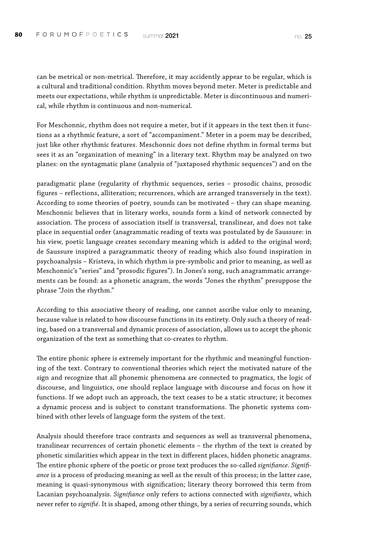can be metrical or non-metrical. Therefore, it may accidently appear to be regular, which is a cultural and traditional condition. Rhythm moves beyond meter. Meter is predictable and meets our expectations, while rhythm is unpredictable. Meter is discontinuous and numerical, while rhythm is continuous and non-numerical.

For Meschonnic, rhythm does not require a meter, but if it appears in the text then it functions as a rhythmic feature, a sort of "accompaniment." Meter in a poem may be described, just like other rhythmic features. Meschonnic does not define rhythm in formal terms but sees it as an "organization of meaning" in a literary text. Rhythm may be analyzed on two planes: on the syntagmatic plane (analysis of "juxtaposed rhythmic sequences") and on the

paradigmatic plane (regularity of rhythmic sequences, series – prosodic chains, prosodic figures – reflections, alliteration; recurrences, which are arranged transversely in the text). According to some theories of poetry, sounds can be motivated – they can shape meaning. Meschonnic believes that in literary works, sounds form a kind of network connected by association. The process of association itself is transversal, translinear, and does not take place in sequential order (anagrammatic reading of texts was postulated by de Saussure: in his view, poetic language creates secondary meaning which is added to the original word; de Saussure inspired a paragrammatic theory of reading which also found inspiration in psychoanalysis – Kristeva, in which rhythm is pre-symbolic and prior to meaning, as well as Meschonnic's "series" and "prosodic figures"). In Jones's song, such anagrammatic arrangements can be found: as a phonetic anagram, the words "Jones the rhythm" presuppose the phrase "Join the rhythm."

According to this associative theory of reading, one cannot ascribe value only to meaning, because value is related to how discourse functions in its entirety. Only such a theory of reading, based on a transversal and dynamic process of association, allows us to accept the phonic organization of the text as something that co-creates to rhythm.

The entire phonic sphere is extremely important for the rhythmic and meaningful functioning of the text. Contrary to conventional theories which reject the motivated nature of the sign and recognize that all phonemic phenomena are connected to pragmatics, the logic of discourse, and linguistics, one should replace language with discourse and focus on how it functions. If we adopt such an approach, the text ceases to be a static structure; it becomes a dynamic process and is subject to constant transformations. The phonetic systems combined with other levels of language form the system of the text.

Analysis should therefore trace contrasts and sequences as well as transversal phenomena, translinear recurrences of certain phonetic elements – the rhythm of the text is created by phonetic similarities which appear in the text in different places, hidden phonetic anagrams. The entire phonic sphere of the poetic or prose text produces the so-called *signifiance*. *Signifiance* is a process of producing meaning as well as the result of this process; in the latter case, meaning is quasi-synonymous with signification; literary theory borrowed this term from Lacanian psychoanalysis. *Signifiance* only refers to actions connected with *signifiants*, which never refer to *signifié*. It is shaped, among other things, by a series of recurring sounds, which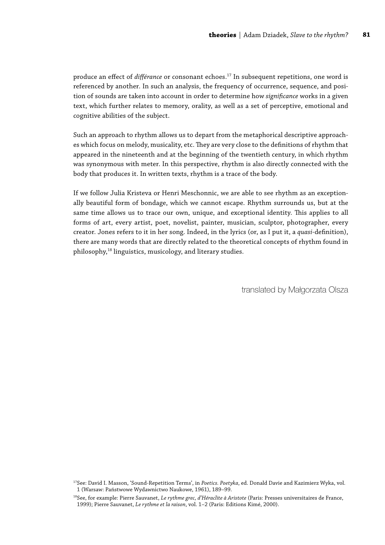produce an effect of *différance* or consonant echoes.17 In subsequent repetitions, one word is referenced by another. In such an analysis, the frequency of occurrence, sequence, and position of sounds are taken into account in order to determine how *significance* works in a given text, which further relates to memory, orality, as well as a set of perceptive, emotional and cognitive abilities of the subject.

Such an approach to rhythm allows us to depart from the metaphorical descriptive approaches which focus on melody, musicality, etc. They are very close to the definitions of rhythm that appeared in the nineteenth and at the beginning of the twentieth century, in which rhythm was synonymous with meter. In this perspective, rhythm is also directly connected with the body that produces it. In written texts, rhythm is a trace of the body.

If we follow Julia Kristeva or Henri Meschonnic, we are able to see rhythm as an exceptionally beautiful form of bondage, which we cannot escape. Rhythm surrounds us, but at the same time allows us to trace our own, unique, and exceptional identity. This applies to all forms of art, every artist, poet, novelist, painter, musician, sculptor, photographer, every creator. Jones refers to it in her song. Indeed, in the lyrics (or, as I put it, a *quasi*-definition), there are many words that are directly related to the theoretical concepts of rhythm found in philosophy,18 linguistics, musicology, and literary studies.

translated by Małgorzata Olsza

<sup>17</sup>See: David I. Masson, 'Sound-Repetition Terms', in *Poetics. Poetyka*, ed. Donald Davie and Kazimierz Wyka, vol. 1 (Warsaw: Państwowe Wydawnictwo Naukowe, 1961), 189–99.

<sup>18</sup>See, for example: Pierre Sauvanet, *Le rythme grec, d'Héraclite à Aristote* (Paris: Presses universitaires de France, 1999); Pierre Sauvanet, *Le rythme et la raison*, vol. 1–2 (Paris: Editions Kimé, 2000).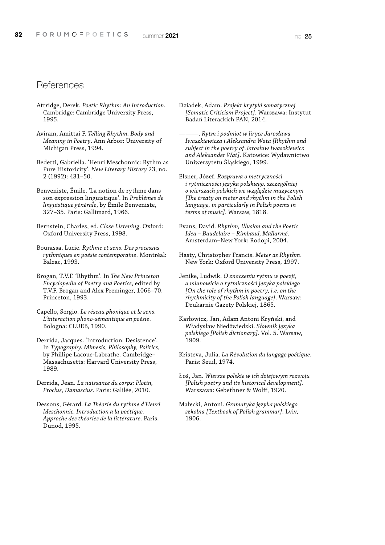#### References

- Attridge, Derek. *Poetic Rhythm: An Introduction*. Cambridge: Cambridge University Press, 1995.
- Aviram, Amittai F. *Telling Rhythm. Body and Meaning in Poetry*. Ann Arbor: University of Michigan Press, 1994.
- Bedetti, Gabriella. 'Henri Meschonnic: Rythm as Pure Historicity'. *New Literary History* 23, no. 2 (1992): 431–50.
- Benveniste, Émile. 'La notion de rythme dans son expression linguistique'. In *Problèmes de linguistique générale*, by Émile Benveniste, 327–35. Paris: Gallimard, 1966.
- Bernstein, Charles, ed. *Close Listening*. Oxford: Oxford University Press, 1998.
- Bourassa, Lucie. *Rythme et sens. Des processus rythmiques en poésie contemporaine*. Montréal: Balzac, 1993.
- Brogan, T.V.F. 'Rhythm'. In *The New Princeton Encyclopedia of Poetry and Poetics*, edited by T.V.F. Brogan and Alex Preminger, 1066–70. Princeton, 1993.
- Capello, Sergio. *Le réseau phonique et le sens. L'interaction phono-sémantique en poésie*. Bologna: CLUEB, 1990.
- Derrida, Jacques. 'Introduction: Desistence'. In *Typography. Mimesis, Philosophy, Politics*, by Phillipe Lacoue-Labrathe. Cambridge– Massachusetts: Harvard University Press, 1989.
- Derrida, Jean. *La naissance du corps: Plotin, Proclus, Damascius*. Paris: Galilée, 2010.
- Dessons, Gérard. *La Théorie du rythme d'Henri Meschonnic. Introduction a la poétique. Approche des théories de la littérature*. Paris: Dunod, 1995.
- Dziadek, Adam. *Projekt krytyki somatycznej [Somatic Criticism Project]*. Warszawa: Instytut Badań Literackich PAN, 2014.
- ———. *Rytm i podmiot w liryce Jarosława Iwaszkiewicza i Aleksandra Wata [Rhythm and subject in the poetry of Jarosław Iwaszkiewicz and Aleksander Wat]*. Katowice: Wydawnictwo Uniwersytetu Śląskiego, 1999.
- Elsner, Józef. *Rozprawa o metryczności i rytmiczności języka polskiego, szczególniej o wierszach polskich we względzie muzycznym [The treaty on meter and rhythm in the Polish language, in particularly in Polish poems in terms of music]*. Warsaw, 1818.
- Evans, David. *Rhythm, Illusion and the Poetic Idea – Baudelaire – Rimbaud, Mallarmé*. Amsterdam–New York: Rodopi, 2004.
- Hasty, Christopher Francis. *Meter as Rhythm*. New York: Oxford University Press, 1997.
- Jenike, Ludwik. *O znaczeniu rytmu w poezji, a mianowicie o rytmiczności języka polskiego [On the role of rhythm in poetry, i.e. on the rhythmicity of the Polish language]*. Warsaw: Drukarnie Gazety Polskiej, 1865.
- Karłowicz, Jan, Adam Antoni Kryński, and Władysław Niedźwiedzki. *Słownik języka polskiego [Polish dictionary]*. Vol. 5. Warsaw, 1909.
- Kristeva, Julia. *La Révolution du langage poétique*. Paris: Seuil, 1974.
- Łoś, Jan. *Wiersze polskie w ich dziejowym rozwoju [Polish poetry and its historical development]*. Warszawa: Gebethner & Wolff, 1920.
- Małecki, Antoni. *Gramatyka języka polskiego szkolna [Textbook of Polish grammar]*. Lviv, 1906.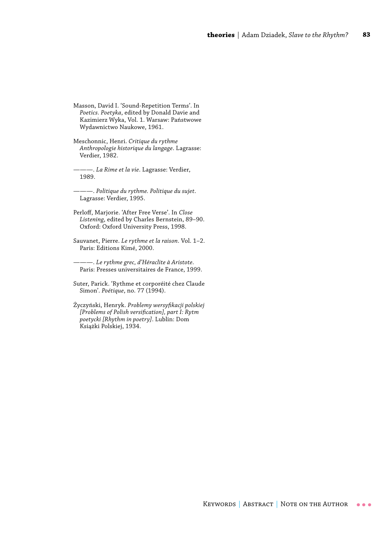Masson, David I. 'Sound-Repetition Terms'. In *Poetics. Poetyka*, edited by Donald Davie and Kazimierz Wyka, Vol. 1. Warsaw: Państwowe Wydawnictwo Naukowe, 1961.

Meschonnic, Henri. *Critique du rythme Anthropologie historique du langage*. Lagrasse: Verdier, 1982.

———. *La Rime et la vie*. Lagrasse: Verdier, 1989.

———. *Politique du rythme. Politique du sujet*. Lagrasse: Verdier, 1995.

Perloff, Marjorie. 'After Free Verse'. In *Close Listening*, edited by Charles Bernstein, 89–90. Oxford: Oxford University Press, 1998.

Sauvanet, Pierre. *Le rythme et la raison*. Vol. 1–2. Paris: Editions Kimé, 2000.

———. *Le rythme grec, d'Héraclite à Aristote*. Paris: Presses universitaires de France, 1999.

Suter, Parick. 'Rythme et corporéité chez Claude Simon'. *Poétique*, no. 77 (1994).

Życzyński, Henryk. *Problemy wersyfikacji polskiej [Problems of Polish versification], part I: Rytm poetycki [Rhythm in poetry]*. Lublin: Dom Książki Polskiej, 1934.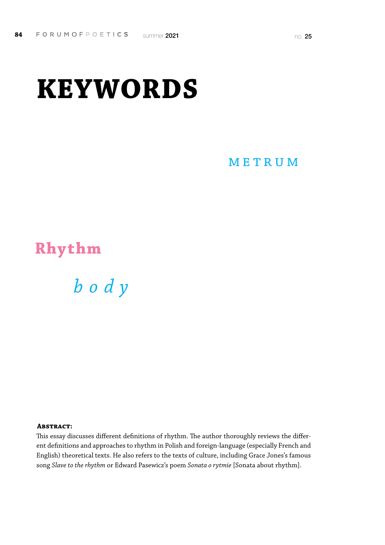## **KEYWORDS**

#### METRUM

## **Rhythm**

*body*

#### **Abstract:**

This essay discusses different definitions of rhythm. The author thoroughly reviews the different definitions and approaches to rhythm in Polish and foreign-language (especially French and English) theoretical texts. He also refers to the texts of culture, including Grace Jones's famous song *Slave to the rhythm* or Edward Pasewicz's poem *Sonata o rytmie* [Sonata about rhythm].